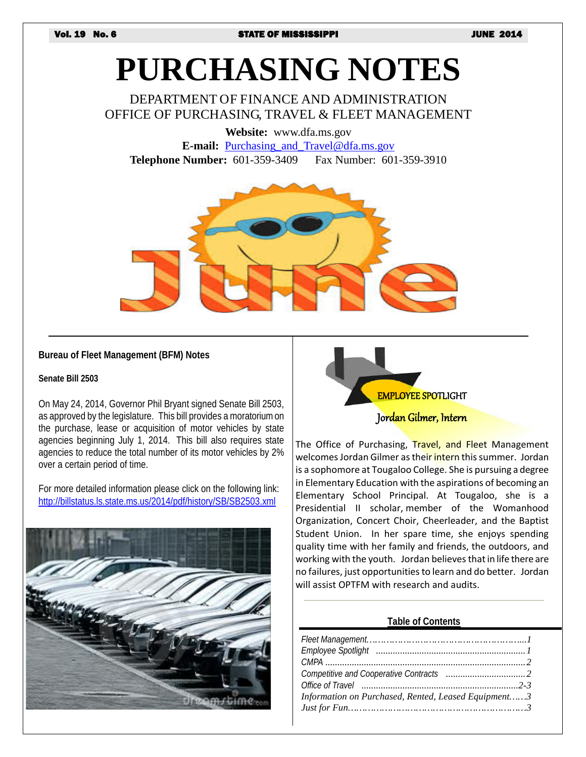# **PURCHASING NOTES**

DEPARTMENT OF FINANCE AND ADMINISTRATION OFFICE OF PURCHASING, TRAVEL & FLEET MANAGEMENT

**Website:** www.dfa.ms.gov

**E-mail:** [Purchasing\\_and\\_Travel@dfa.ms.gov](mailto:Purchasing_and_Travel@dfa.ms.gov) **Telephone Number:** 601-359-3409 Fax Number: 601-359-3910



#### **Bureau of Fleet Management (BFM) Notes**

**Senate Bill 2503**

On May 24, 2014, Governor Phil Bryant signed Senate Bill 2503, as approved by the legislature. This bill provides a moratorium on the purchase, lease or acquisition of motor vehicles by state agencies beginning July 1, 2014. This bill also requires state agencies to reduce the total number of its motor vehicles by 2% over a certain period of time.

For more detailed information please click on the following link: <http://billstatus.ls.state.ms.us/2014/pdf/history/SB/SB2503.xml>





Jordan Gilmer, Intern

The Office of Purchasing, Travel, and Fleet Management welcomes Jordan Gilmer as their intern this summer. Jordan is a so[phomore at Tougaloo College. She is pursuing a degree](https://images.search.yahoo.com/images/view;_ylt=AwrB8o9bnGJTzRIAqiaJzbkF;_ylu=X3oDMTIyb3YzbmtuBHNlYwNzcgRzbGsDaW1nBG9pZAM4ZjIxZTYzYTFhOTNmYzI0NTI1N2EzOTBmZDI1NDEwNgRncG9zAzYEaXQDYmluZw--?back=http://images.search.yahoo.com/search/images?p=employee+spotlight+clip+art&n=60&ei=utf-8&fr=yfp-t-671&fr2=sb-top&tab=organic&ri=6&w=600&h=583&imgurl=www.clker.com/cliparts/3/A/2/8/9/8/spotlight-hi.png&rurl=http://dict.space.4goo.net/dict?q=spotlight&size=20.0KB&name=<b>Spotlight+clip+art+</b>-+vector+<b>clip+art+</b>online,+royalty+free+&+public+...&p=employee+spotlight+clip+art&oid=8f21e63a1a93fc245257a390fd254106&fr2=sb-top&fr=yfp-t-671&tt=<b>Spotlight+clip+art+</b>-+vector+<b>clip+art+</b>online,+royalty+free+&+public+...&b=0&ni=96&no=6&ts=&tab=organic&sigr=11b1ivtl7&sigb=141nv2dqn&sigi=11j33req6&sigt=12kbl97n8&sign=12kbl97n8&.crumb=yMKV/dTvmTW&fr=yfp-t-671&fr2=sb-top)  in Elementary Education with the aspirations of becoming an Elementary School Principal. At Tougaloo, she is a Presidential II scholar, member of the Womanhood Organization, Concert Choir, Cheerleader, and the Baptist Student Union. In her spare time, she enjoys spending quality time with her family and friends, the outdoors, and working with the youth. Jordan believes that in life there are no failures, just opportunities to learn and do better. Jordan will assist OPTFM with research and audits.

#### **Table of Contents**

| Information on Purchased, Rented, Leased Equipment3 |
|-----------------------------------------------------|
|                                                     |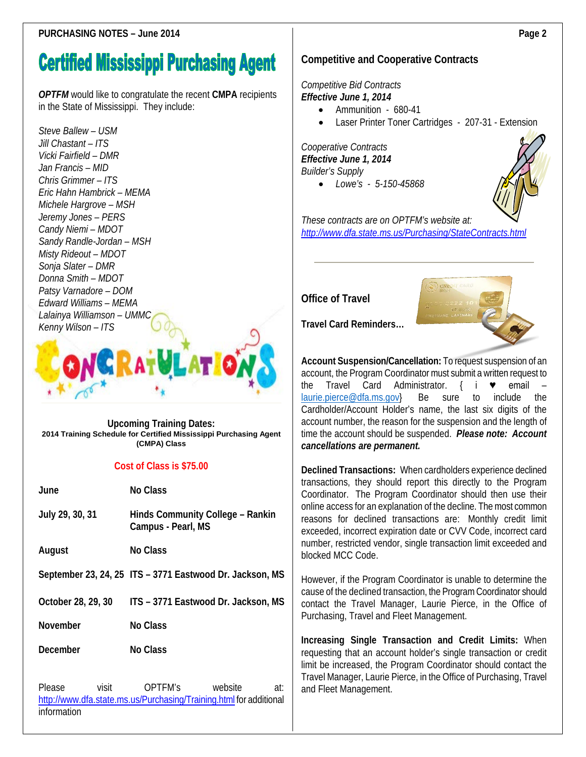## **Certified Mississippi Purchasing Agent**

*OPTFM* would like to congratulate the recent **CMPA** recipients in the State of Mississippi. They include:

*Steve Ballew – USM Jill Chastant – ITS Vicki Fairfield – DMR Jan Francis – MID Chris Grimmer – ITS Eric Hahn Hambrick – MEMA Michele Hargrove – MSH Jeremy Jones – PERS Candy Niemi – MDOT Sandy Randle-Jordan – MSH Misty Rideout – MDOT Sonja Slater – DMR Donna Smith – MDOT Patsy Varnadore – DOM Edward Williams – MEMA Lalainya Williamson – UMMC Kenny Wilson – ITS*



#### **Upcoming Training Dates: 2014 Training Schedule for Certified Mississippi Purchasing Agent (CMPA) Class**

#### **Cost of Class is \$75.00**

| June                                  | No Class                                                                                        |  |  |
|---------------------------------------|-------------------------------------------------------------------------------------------------|--|--|
| July 29, 30, 31                       | Hinds Community College - Rankin<br>Campus - Pearl, MS                                          |  |  |
| August                                | No Class                                                                                        |  |  |
|                                       | September 23, 24, 25 ITS - 3771 Eastwood Dr. Jackson, MS                                        |  |  |
| October 28, 29, 30                    | ITS - 3771 Eastwood Dr. Jackson, MS                                                             |  |  |
| November                              | No Class                                                                                        |  |  |
| December                              | No Class                                                                                        |  |  |
| <b>Please</b><br>visit<br>information | OPTFM's<br>website<br>at:<br>http://www.dfa.state.ms.us/Purchasing/Training.html for additional |  |  |

### **Competitive and Cooperative Contracts**

#### *Competitive Bid Contracts Effective June 1, 2014*

- Ammunition 680-41
- Laser Printer Toner Cartridges 207-31 Extension

*Cooperative Contracts Effective June 1, 2014 Builder's Supply*

• *Lowe's - 5-150-45868*



*These contracts are on OPTFM's website at: <http://www.dfa.state.ms.us/Purchasing/StateContracts.html>*

**Office of Travel**



**Travel Card Reminders…**

**Account Suspension/Cancellation:** To request suspension of an account, the Program Coordinator must submit a written request to the Travel Card Administrator. { i ♥ email – [laurie.pierce@dfa.ms.gov}](mailto:laurie.pierce@dfa.ms.gov) Be sure to include the Cardholder/Account Holder's name, the last six digits of the account number, the reason for the suspension and the length of time the account should be suspended. *Please note: Account cancellations are permanent.* 

**Declined Transactions:** When cardholders experience declined transactions, they should report this directly to the Program Coordinator. The Program Coordinator should then use their online access for an explanation of the decline. The most common reasons for declined transactions are: Monthly credit limit exceeded, incorrect expiration date or CVV Code, incorrect card number, restricted vendor, single transaction limit exceeded and blocked MCC Code.

However, if the Program Coordinator is unable to determine the cause of the declined transaction, the Program Coordinator should contact the Travel Manager, Laurie Pierce, in the Office of Purchasing, Travel and Fleet Management.

**Increasing Single Transaction and Credit Limits:** When requesting that an account holder's single transaction or credit limit be increased, the Program Coordinator should contact the Travel Manager, Laurie Pierce, in the Office of Purchasing, Travel and Fleet Management.